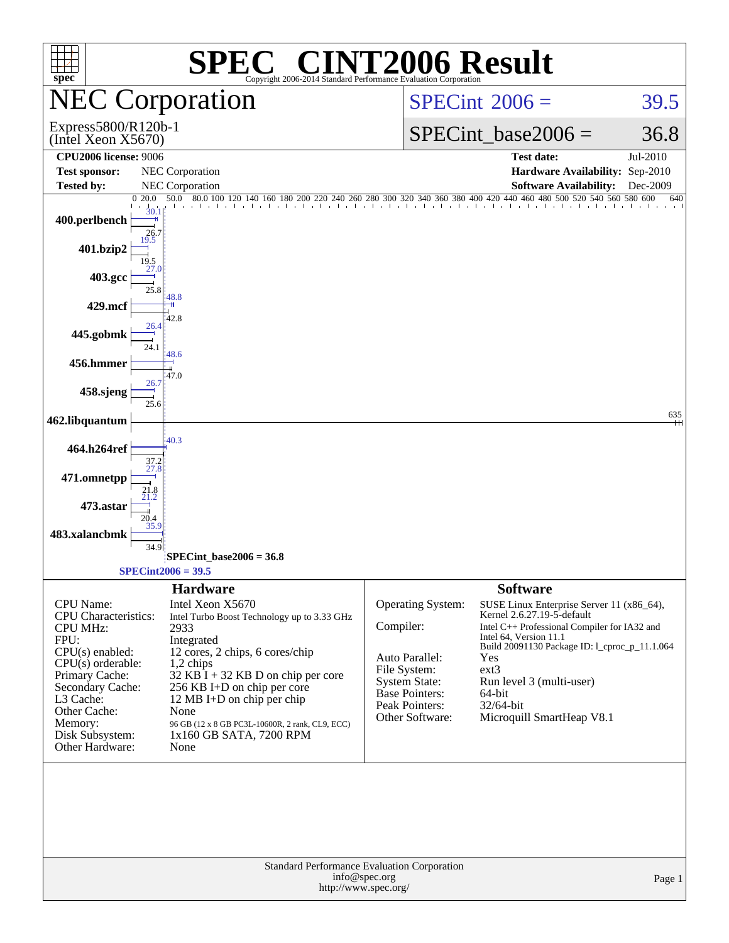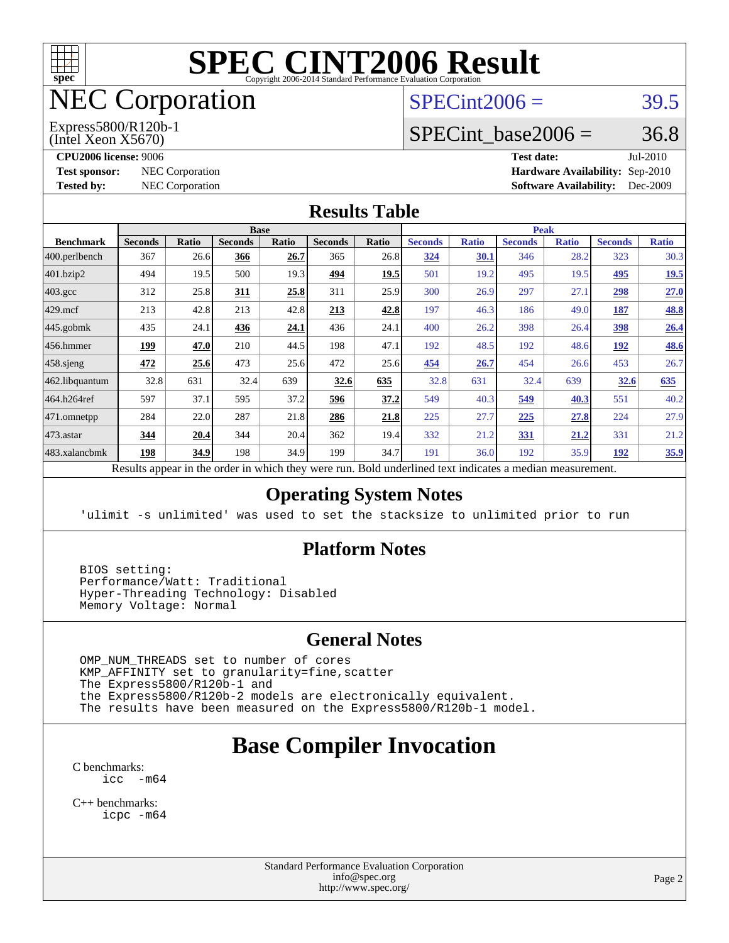

# NEC Corporation

(Intel Xeon X5670) Express5800/R120b-1  $SPECint2006 = 39.5$  $SPECint2006 = 39.5$ 

## SPECint base2006 =  $36.8$

**[CPU2006 license:](http://www.spec.org/auto/cpu2006/Docs/result-fields.html#CPU2006license)** 9006 **[Test date:](http://www.spec.org/auto/cpu2006/Docs/result-fields.html#Testdate)** Jul-2010 **[Test sponsor:](http://www.spec.org/auto/cpu2006/Docs/result-fields.html#Testsponsor)** NEC Corporation **NEC Corporation [Hardware Availability:](http://www.spec.org/auto/cpu2006/Docs/result-fields.html#HardwareAvailability)** Sep-2010 **[Tested by:](http://www.spec.org/auto/cpu2006/Docs/result-fields.html#Testedby)** NEC Corporation **[Software Availability:](http://www.spec.org/auto/cpu2006/Docs/result-fields.html#SoftwareAvailability)** Dec-2009

#### **[Results Table](http://www.spec.org/auto/cpu2006/Docs/result-fields.html#ResultsTable)**

|                    | <b>Base</b>    |       |                |              |                |                           |                           | <b>Peak</b>  |                |              |                |              |  |
|--------------------|----------------|-------|----------------|--------------|----------------|---------------------------|---------------------------|--------------|----------------|--------------|----------------|--------------|--|
| <b>Benchmark</b>   | <b>Seconds</b> | Ratio | <b>Seconds</b> | <b>Ratio</b> | <b>Seconds</b> | <b>Ratio</b>              | <b>Seconds</b>            | <b>Ratio</b> | <b>Seconds</b> | <b>Ratio</b> | <b>Seconds</b> | <b>Ratio</b> |  |
| 400.perlbench      | 367            | 26.6  | 366            | 26.7         | 365            | 26.8                      | 324                       | 30.1         | 346            | 28.2         | 323            | 30.3         |  |
| 401.bzip2          | 494            | 19.5  | 500            | 19.3         | 494            | 19.5                      | 501                       | 19.2         | 495            | 19.5         | 495            | <u>19.5</u>  |  |
| $403.\mathrm{gcc}$ | 312            | 25.8  | 311            | 25.8         | 311            | 25.9                      | 300                       | 26.9         | 297            | 27.1         | 298            | 27.0         |  |
| $429$ .mcf         | 213            | 42.8  | 213            | 42.8         | 213            | 42.8                      | 197                       | 46.3         | 186            | 49.0         | <u>187</u>     | <b>48.8</b>  |  |
| $445$ .gobmk       | 435            | 24.1  | 436            | 24.1         | 436            | 24.1                      | 400                       | 26.2         | 398            | 26.4         | <u>398</u>     | 26.4         |  |
| $456.$ hmmer       | 199            | 47.0  | 210            | 44.5         | 198            | 47.1                      | 192                       | 48.5         | 192            | 48.6         | <u>192</u>     | <b>48.6</b>  |  |
| $458$ .sjeng       | 472            | 25.6  | 473            | 25.6         | 472            | 25.6                      | 454                       | 26.7         | 454            | 26.6         | 453            | 26.7         |  |
| 462.libquantum     | 32.8           | 631   | 32.4           | 639          | 32.6           | 635                       | 32.8                      | 631          | 32.4           | 639          | 32.6           | 635          |  |
| 464.h264ref        | 597            | 37.1  | 595            | 37.2         | 596            | 37.2                      | 549                       | 40.3         | 549            | 40.3         | 551            | 40.2         |  |
| 471.omnetpp        | 284            | 22.0  | 287            | 21.8         | 286            | 21.8                      | 225                       | 27.7         | 225            | 27.8         | 224            | 27.9         |  |
| 473.astar          | 344            | 20.4  | 344            | 20.4         | 362            | 19.4                      | 332                       | 21.2         | 331            | <u>21.2</u>  | 331            | 21.2         |  |
| 483.xalancbmk      | 198            | 34.9  | 198            | 34.9         | 199            | 34.7                      | 191                       | 36.0         | 192            | 35.9         | <u>192</u>     | <u>35.9</u>  |  |
| $\mathbf{r}$       |                |       |                | 1.1.1.1      |                | $\mathbf{r}$ $\mathbf{r}$ | $\blacksquare$<br>$1 - 1$ | .            |                |              |                |              |  |

Results appear in the [order in which they were run.](http://www.spec.org/auto/cpu2006/Docs/result-fields.html#RunOrder) Bold underlined text [indicates a median measurement.](http://www.spec.org/auto/cpu2006/Docs/result-fields.html#Median)

#### **[Operating System Notes](http://www.spec.org/auto/cpu2006/Docs/result-fields.html#OperatingSystemNotes)**

'ulimit -s unlimited' was used to set the stacksize to unlimited prior to run

#### **[Platform Notes](http://www.spec.org/auto/cpu2006/Docs/result-fields.html#PlatformNotes)**

 BIOS setting: Performance/Watt: Traditional Hyper-Threading Technology: Disabled Memory Voltage: Normal

#### **[General Notes](http://www.spec.org/auto/cpu2006/Docs/result-fields.html#GeneralNotes)**

 OMP\_NUM\_THREADS set to number of cores KMP\_AFFINITY set to granularity=fine,scatter The Express5800/R120b-1 and the Express5800/R120b-2 models are electronically equivalent. The results have been measured on the Express5800/R120b-1 model.

# **[Base Compiler Invocation](http://www.spec.org/auto/cpu2006/Docs/result-fields.html#BaseCompilerInvocation)**

[C benchmarks](http://www.spec.org/auto/cpu2006/Docs/result-fields.html#Cbenchmarks): [icc -m64](http://www.spec.org/cpu2006/results/res2010q3/cpu2006-20100813-12909.flags.html#user_CCbase_intel_icc_64bit_f346026e86af2a669e726fe758c88044)

[C++ benchmarks:](http://www.spec.org/auto/cpu2006/Docs/result-fields.html#CXXbenchmarks) [icpc -m64](http://www.spec.org/cpu2006/results/res2010q3/cpu2006-20100813-12909.flags.html#user_CXXbase_intel_icpc_64bit_fc66a5337ce925472a5c54ad6a0de310)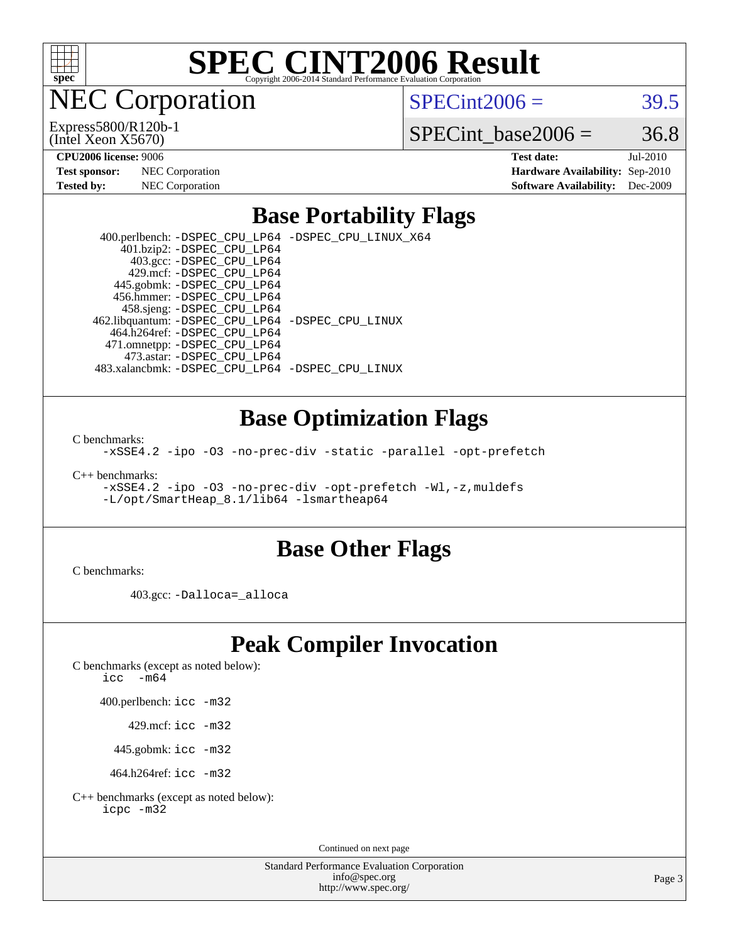

**EC Corporation** 

(Intel Xeon X5670) Express5800/R120b-1  $SPECint2006 = 39.5$  $SPECint2006 = 39.5$ 

SPECint base2006 =  $36.8$ 

**[Hardware Availability:](http://www.spec.org/auto/cpu2006/Docs/result-fields.html#HardwareAvailability)** Sep-2010 **[Software Availability:](http://www.spec.org/auto/cpu2006/Docs/result-fields.html#SoftwareAvailability)** Dec-2009

**[CPU2006 license:](http://www.spec.org/auto/cpu2006/Docs/result-fields.html#CPU2006license)** 9006 **[Test date:](http://www.spec.org/auto/cpu2006/Docs/result-fields.html#Testdate)** Jul-2010

| <b>Test sponsor:</b> | <b>NEC</b> Corporation |
|----------------------|------------------------|
| Tested by:           | NEC Corporation        |

### **[Base Portability Flags](http://www.spec.org/auto/cpu2006/Docs/result-fields.html#BasePortabilityFlags)**

 400.perlbench: [-DSPEC\\_CPU\\_LP64](http://www.spec.org/cpu2006/results/res2010q3/cpu2006-20100813-12909.flags.html#b400.perlbench_basePORTABILITY_DSPEC_CPU_LP64) [-DSPEC\\_CPU\\_LINUX\\_X64](http://www.spec.org/cpu2006/results/res2010q3/cpu2006-20100813-12909.flags.html#b400.perlbench_baseCPORTABILITY_DSPEC_CPU_LINUX_X64) 401.bzip2: [-DSPEC\\_CPU\\_LP64](http://www.spec.org/cpu2006/results/res2010q3/cpu2006-20100813-12909.flags.html#suite_basePORTABILITY401_bzip2_DSPEC_CPU_LP64) 403.gcc: [-DSPEC\\_CPU\\_LP64](http://www.spec.org/cpu2006/results/res2010q3/cpu2006-20100813-12909.flags.html#suite_basePORTABILITY403_gcc_DSPEC_CPU_LP64) 429.mcf: [-DSPEC\\_CPU\\_LP64](http://www.spec.org/cpu2006/results/res2010q3/cpu2006-20100813-12909.flags.html#suite_basePORTABILITY429_mcf_DSPEC_CPU_LP64) 445.gobmk: [-DSPEC\\_CPU\\_LP64](http://www.spec.org/cpu2006/results/res2010q3/cpu2006-20100813-12909.flags.html#suite_basePORTABILITY445_gobmk_DSPEC_CPU_LP64) 456.hmmer: [-DSPEC\\_CPU\\_LP64](http://www.spec.org/cpu2006/results/res2010q3/cpu2006-20100813-12909.flags.html#suite_basePORTABILITY456_hmmer_DSPEC_CPU_LP64) 458.sjeng: [-DSPEC\\_CPU\\_LP64](http://www.spec.org/cpu2006/results/res2010q3/cpu2006-20100813-12909.flags.html#suite_basePORTABILITY458_sjeng_DSPEC_CPU_LP64) 462.libquantum: [-DSPEC\\_CPU\\_LP64](http://www.spec.org/cpu2006/results/res2010q3/cpu2006-20100813-12909.flags.html#suite_basePORTABILITY462_libquantum_DSPEC_CPU_LP64) [-DSPEC\\_CPU\\_LINUX](http://www.spec.org/cpu2006/results/res2010q3/cpu2006-20100813-12909.flags.html#b462.libquantum_baseCPORTABILITY_DSPEC_CPU_LINUX) 464.h264ref: [-DSPEC\\_CPU\\_LP64](http://www.spec.org/cpu2006/results/res2010q3/cpu2006-20100813-12909.flags.html#suite_basePORTABILITY464_h264ref_DSPEC_CPU_LP64) 471.omnetpp: [-DSPEC\\_CPU\\_LP64](http://www.spec.org/cpu2006/results/res2010q3/cpu2006-20100813-12909.flags.html#suite_basePORTABILITY471_omnetpp_DSPEC_CPU_LP64) 473.astar: [-DSPEC\\_CPU\\_LP64](http://www.spec.org/cpu2006/results/res2010q3/cpu2006-20100813-12909.flags.html#suite_basePORTABILITY473_astar_DSPEC_CPU_LP64) 483.xalancbmk: [-DSPEC\\_CPU\\_LP64](http://www.spec.org/cpu2006/results/res2010q3/cpu2006-20100813-12909.flags.html#suite_basePORTABILITY483_xalancbmk_DSPEC_CPU_LP64) [-DSPEC\\_CPU\\_LINUX](http://www.spec.org/cpu2006/results/res2010q3/cpu2006-20100813-12909.flags.html#b483.xalancbmk_baseCXXPORTABILITY_DSPEC_CPU_LINUX)

### **[Base Optimization Flags](http://www.spec.org/auto/cpu2006/Docs/result-fields.html#BaseOptimizationFlags)**

[C benchmarks](http://www.spec.org/auto/cpu2006/Docs/result-fields.html#Cbenchmarks):

[-xSSE4.2](http://www.spec.org/cpu2006/results/res2010q3/cpu2006-20100813-12909.flags.html#user_CCbase_f-xSSE42_f91528193cf0b216347adb8b939d4107) [-ipo](http://www.spec.org/cpu2006/results/res2010q3/cpu2006-20100813-12909.flags.html#user_CCbase_f-ipo) [-O3](http://www.spec.org/cpu2006/results/res2010q3/cpu2006-20100813-12909.flags.html#user_CCbase_f-O3) [-no-prec-div](http://www.spec.org/cpu2006/results/res2010q3/cpu2006-20100813-12909.flags.html#user_CCbase_f-no-prec-div) [-static](http://www.spec.org/cpu2006/results/res2010q3/cpu2006-20100813-12909.flags.html#user_CCbase_f-static) [-parallel](http://www.spec.org/cpu2006/results/res2010q3/cpu2006-20100813-12909.flags.html#user_CCbase_f-parallel) [-opt-prefetch](http://www.spec.org/cpu2006/results/res2010q3/cpu2006-20100813-12909.flags.html#user_CCbase_f-opt-prefetch)

[C++ benchmarks:](http://www.spec.org/auto/cpu2006/Docs/result-fields.html#CXXbenchmarks)

[-xSSE4.2](http://www.spec.org/cpu2006/results/res2010q3/cpu2006-20100813-12909.flags.html#user_CXXbase_f-xSSE42_f91528193cf0b216347adb8b939d4107) [-ipo](http://www.spec.org/cpu2006/results/res2010q3/cpu2006-20100813-12909.flags.html#user_CXXbase_f-ipo) [-O3](http://www.spec.org/cpu2006/results/res2010q3/cpu2006-20100813-12909.flags.html#user_CXXbase_f-O3) [-no-prec-div](http://www.spec.org/cpu2006/results/res2010q3/cpu2006-20100813-12909.flags.html#user_CXXbase_f-no-prec-div) [-opt-prefetch](http://www.spec.org/cpu2006/results/res2010q3/cpu2006-20100813-12909.flags.html#user_CXXbase_f-opt-prefetch) [-Wl,-z,muldefs](http://www.spec.org/cpu2006/results/res2010q3/cpu2006-20100813-12909.flags.html#user_CXXbase_link_force_multiple1_74079c344b956b9658436fd1b6dd3a8a) [-L/opt/SmartHeap\\_8.1/lib64 -lsmartheap64](http://www.spec.org/cpu2006/results/res2010q3/cpu2006-20100813-12909.flags.html#user_CXXbase_SmartHeap64_7ff9c3d8ca51c2767359d6aa2f519d77)

#### **[Base Other Flags](http://www.spec.org/auto/cpu2006/Docs/result-fields.html#BaseOtherFlags)**

[C benchmarks](http://www.spec.org/auto/cpu2006/Docs/result-fields.html#Cbenchmarks):

403.gcc: [-Dalloca=\\_alloca](http://www.spec.org/cpu2006/results/res2010q3/cpu2006-20100813-12909.flags.html#b403.gcc_baseEXTRA_CFLAGS_Dalloca_be3056838c12de2578596ca5467af7f3)

### **[Peak Compiler Invocation](http://www.spec.org/auto/cpu2006/Docs/result-fields.html#PeakCompilerInvocation)**

[C benchmarks \(except as noted below\)](http://www.spec.org/auto/cpu2006/Docs/result-fields.html#Cbenchmarksexceptasnotedbelow):

icc  $-m64$ 

400.perlbench: [icc -m32](http://www.spec.org/cpu2006/results/res2010q3/cpu2006-20100813-12909.flags.html#user_peakCCLD400_perlbench_intel_icc_32bit_a6a621f8d50482236b970c6ac5f55f93)

429.mcf: [icc -m32](http://www.spec.org/cpu2006/results/res2010q3/cpu2006-20100813-12909.flags.html#user_peakCCLD429_mcf_intel_icc_32bit_a6a621f8d50482236b970c6ac5f55f93)

445.gobmk: [icc -m32](http://www.spec.org/cpu2006/results/res2010q3/cpu2006-20100813-12909.flags.html#user_peakCCLD445_gobmk_intel_icc_32bit_a6a621f8d50482236b970c6ac5f55f93)

464.h264ref: [icc -m32](http://www.spec.org/cpu2006/results/res2010q3/cpu2006-20100813-12909.flags.html#user_peakCCLD464_h264ref_intel_icc_32bit_a6a621f8d50482236b970c6ac5f55f93)

[C++ benchmarks \(except as noted below\):](http://www.spec.org/auto/cpu2006/Docs/result-fields.html#CXXbenchmarksexceptasnotedbelow) [icpc -m32](http://www.spec.org/cpu2006/results/res2010q3/cpu2006-20100813-12909.flags.html#user_CXXpeak_intel_icpc_32bit_4e5a5ef1a53fd332b3c49e69c3330699)

Continued on next page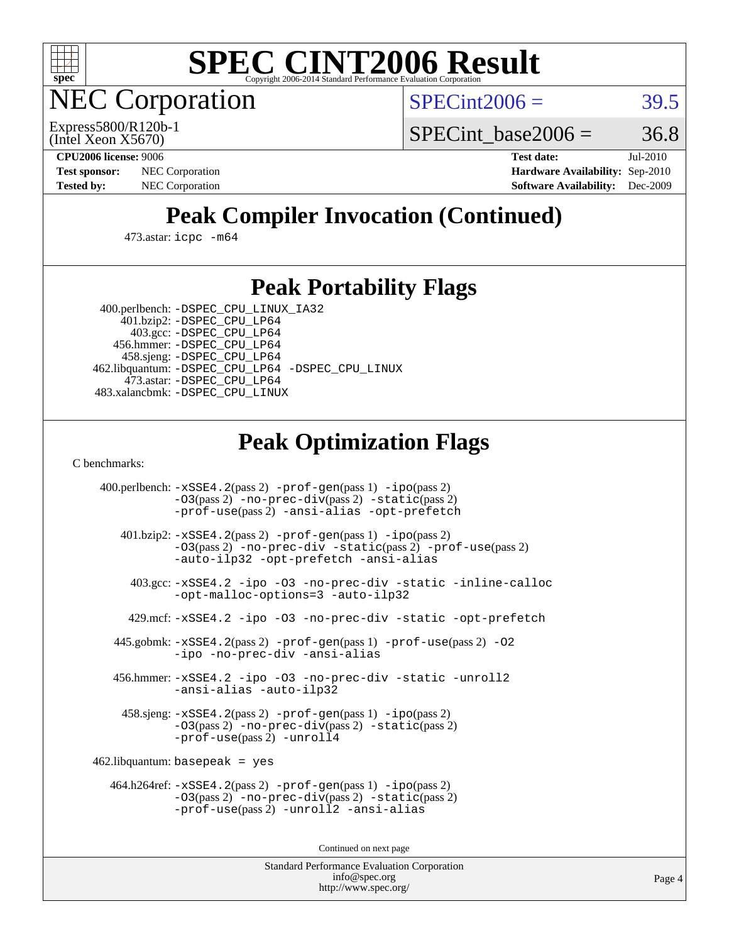

**EC Corporation** 

 $SPECint2006 = 39.5$  $SPECint2006 = 39.5$ 

(Intel Xeon X5670) Express5800/R120b-1 SPECint base2006 =  $36.8$ 

**[CPU2006 license:](http://www.spec.org/auto/cpu2006/Docs/result-fields.html#CPU2006license)** 9006 **[Test date:](http://www.spec.org/auto/cpu2006/Docs/result-fields.html#Testdate)** Jul-2010 **[Test sponsor:](http://www.spec.org/auto/cpu2006/Docs/result-fields.html#Testsponsor)** NEC Corporation **NEC Corporation [Hardware Availability:](http://www.spec.org/auto/cpu2006/Docs/result-fields.html#HardwareAvailability)** Sep-2010 **[Tested by:](http://www.spec.org/auto/cpu2006/Docs/result-fields.html#Testedby)** NEC Corporation **[Software Availability:](http://www.spec.org/auto/cpu2006/Docs/result-fields.html#SoftwareAvailability)** Dec-2009

# **[Peak Compiler Invocation \(Continued\)](http://www.spec.org/auto/cpu2006/Docs/result-fields.html#PeakCompilerInvocation)**

473.astar: [icpc -m64](http://www.spec.org/cpu2006/results/res2010q3/cpu2006-20100813-12909.flags.html#user_peakCXXLD473_astar_intel_icpc_64bit_fc66a5337ce925472a5c54ad6a0de310)

### **[Peak Portability Flags](http://www.spec.org/auto/cpu2006/Docs/result-fields.html#PeakPortabilityFlags)**

 400.perlbench: [-DSPEC\\_CPU\\_LINUX\\_IA32](http://www.spec.org/cpu2006/results/res2010q3/cpu2006-20100813-12909.flags.html#b400.perlbench_peakCPORTABILITY_DSPEC_CPU_LINUX_IA32) 401.bzip2: [-DSPEC\\_CPU\\_LP64](http://www.spec.org/cpu2006/results/res2010q3/cpu2006-20100813-12909.flags.html#suite_peakPORTABILITY401_bzip2_DSPEC_CPU_LP64)

 403.gcc: [-DSPEC\\_CPU\\_LP64](http://www.spec.org/cpu2006/results/res2010q3/cpu2006-20100813-12909.flags.html#suite_peakPORTABILITY403_gcc_DSPEC_CPU_LP64) 456.hmmer: [-DSPEC\\_CPU\\_LP64](http://www.spec.org/cpu2006/results/res2010q3/cpu2006-20100813-12909.flags.html#suite_peakPORTABILITY456_hmmer_DSPEC_CPU_LP64) 458.sjeng: [-DSPEC\\_CPU\\_LP64](http://www.spec.org/cpu2006/results/res2010q3/cpu2006-20100813-12909.flags.html#suite_peakPORTABILITY458_sjeng_DSPEC_CPU_LP64) 462.libquantum: [-DSPEC\\_CPU\\_LP64](http://www.spec.org/cpu2006/results/res2010q3/cpu2006-20100813-12909.flags.html#suite_peakPORTABILITY462_libquantum_DSPEC_CPU_LP64) [-DSPEC\\_CPU\\_LINUX](http://www.spec.org/cpu2006/results/res2010q3/cpu2006-20100813-12909.flags.html#b462.libquantum_peakCPORTABILITY_DSPEC_CPU_LINUX) 473.astar: [-DSPEC\\_CPU\\_LP64](http://www.spec.org/cpu2006/results/res2010q3/cpu2006-20100813-12909.flags.html#suite_peakPORTABILITY473_astar_DSPEC_CPU_LP64) 483.xalancbmk: [-DSPEC\\_CPU\\_LINUX](http://www.spec.org/cpu2006/results/res2010q3/cpu2006-20100813-12909.flags.html#b483.xalancbmk_peakCXXPORTABILITY_DSPEC_CPU_LINUX)

# **[Peak Optimization Flags](http://www.spec.org/auto/cpu2006/Docs/result-fields.html#PeakOptimizationFlags)**

[C benchmarks](http://www.spec.org/auto/cpu2006/Docs/result-fields.html#Cbenchmarks):

 400.perlbench: [-xSSE4.2](http://www.spec.org/cpu2006/results/res2010q3/cpu2006-20100813-12909.flags.html#user_peakPASS2_CFLAGSPASS2_LDCFLAGS400_perlbench_f-xSSE42_f91528193cf0b216347adb8b939d4107)(pass 2) [-prof-gen](http://www.spec.org/cpu2006/results/res2010q3/cpu2006-20100813-12909.flags.html#user_peakPASS1_CFLAGSPASS1_LDCFLAGS400_perlbench_prof_gen_e43856698f6ca7b7e442dfd80e94a8fc)(pass 1) [-ipo](http://www.spec.org/cpu2006/results/res2010q3/cpu2006-20100813-12909.flags.html#user_peakPASS2_CFLAGSPASS2_LDCFLAGS400_perlbench_f-ipo)(pass 2) [-O3](http://www.spec.org/cpu2006/results/res2010q3/cpu2006-20100813-12909.flags.html#user_peakPASS2_CFLAGSPASS2_LDCFLAGS400_perlbench_f-O3)(pass 2) [-no-prec-div](http://www.spec.org/cpu2006/results/res2010q3/cpu2006-20100813-12909.flags.html#user_peakPASS2_CFLAGSPASS2_LDCFLAGS400_perlbench_f-no-prec-div)(pass 2) [-static](http://www.spec.org/cpu2006/results/res2010q3/cpu2006-20100813-12909.flags.html#user_peakPASS2_CFLAGSPASS2_LDCFLAGS400_perlbench_f-static)(pass 2) [-prof-use](http://www.spec.org/cpu2006/results/res2010q3/cpu2006-20100813-12909.flags.html#user_peakPASS2_CFLAGSPASS2_LDCFLAGS400_perlbench_prof_use_bccf7792157ff70d64e32fe3e1250b55)(pass 2) [-ansi-alias](http://www.spec.org/cpu2006/results/res2010q3/cpu2006-20100813-12909.flags.html#user_peakCOPTIMIZE400_perlbench_f-ansi-alias) [-opt-prefetch](http://www.spec.org/cpu2006/results/res2010q3/cpu2006-20100813-12909.flags.html#user_peakCOPTIMIZE400_perlbench_f-opt-prefetch) 401.bzip2: [-xSSE4.2](http://www.spec.org/cpu2006/results/res2010q3/cpu2006-20100813-12909.flags.html#user_peakPASS2_CFLAGSPASS2_LDCFLAGS401_bzip2_f-xSSE42_f91528193cf0b216347adb8b939d4107)(pass 2) [-prof-gen](http://www.spec.org/cpu2006/results/res2010q3/cpu2006-20100813-12909.flags.html#user_peakPASS1_CFLAGSPASS1_LDCFLAGS401_bzip2_prof_gen_e43856698f6ca7b7e442dfd80e94a8fc)(pass 1) [-ipo](http://www.spec.org/cpu2006/results/res2010q3/cpu2006-20100813-12909.flags.html#user_peakPASS2_CFLAGSPASS2_LDCFLAGS401_bzip2_f-ipo)(pass 2) [-O3](http://www.spec.org/cpu2006/results/res2010q3/cpu2006-20100813-12909.flags.html#user_peakPASS2_CFLAGSPASS2_LDCFLAGS401_bzip2_f-O3)(pass 2) [-no-prec-div](http://www.spec.org/cpu2006/results/res2010q3/cpu2006-20100813-12909.flags.html#user_peakCOPTIMIZEPASS2_CFLAGSPASS2_LDCFLAGS401_bzip2_f-no-prec-div) [-static](http://www.spec.org/cpu2006/results/res2010q3/cpu2006-20100813-12909.flags.html#user_peakPASS2_CFLAGSPASS2_LDCFLAGS401_bzip2_f-static)(pass 2) [-prof-use](http://www.spec.org/cpu2006/results/res2010q3/cpu2006-20100813-12909.flags.html#user_peakPASS2_CFLAGSPASS2_LDCFLAGS401_bzip2_prof_use_bccf7792157ff70d64e32fe3e1250b55)(pass 2) [-auto-ilp32](http://www.spec.org/cpu2006/results/res2010q3/cpu2006-20100813-12909.flags.html#user_peakCOPTIMIZE401_bzip2_f-auto-ilp32) [-opt-prefetch](http://www.spec.org/cpu2006/results/res2010q3/cpu2006-20100813-12909.flags.html#user_peakCOPTIMIZE401_bzip2_f-opt-prefetch) [-ansi-alias](http://www.spec.org/cpu2006/results/res2010q3/cpu2006-20100813-12909.flags.html#user_peakCOPTIMIZE401_bzip2_f-ansi-alias) 403.gcc: [-xSSE4.2](http://www.spec.org/cpu2006/results/res2010q3/cpu2006-20100813-12909.flags.html#user_peakCOPTIMIZE403_gcc_f-xSSE42_f91528193cf0b216347adb8b939d4107) [-ipo](http://www.spec.org/cpu2006/results/res2010q3/cpu2006-20100813-12909.flags.html#user_peakCOPTIMIZE403_gcc_f-ipo) [-O3](http://www.spec.org/cpu2006/results/res2010q3/cpu2006-20100813-12909.flags.html#user_peakCOPTIMIZE403_gcc_f-O3) [-no-prec-div](http://www.spec.org/cpu2006/results/res2010q3/cpu2006-20100813-12909.flags.html#user_peakCOPTIMIZE403_gcc_f-no-prec-div) [-static](http://www.spec.org/cpu2006/results/res2010q3/cpu2006-20100813-12909.flags.html#user_peakCOPTIMIZE403_gcc_f-static) [-inline-calloc](http://www.spec.org/cpu2006/results/res2010q3/cpu2006-20100813-12909.flags.html#user_peakCOPTIMIZE403_gcc_f-inline-calloc) [-opt-malloc-options=3](http://www.spec.org/cpu2006/results/res2010q3/cpu2006-20100813-12909.flags.html#user_peakCOPTIMIZE403_gcc_f-opt-malloc-options_13ab9b803cf986b4ee62f0a5998c2238) [-auto-ilp32](http://www.spec.org/cpu2006/results/res2010q3/cpu2006-20100813-12909.flags.html#user_peakCOPTIMIZE403_gcc_f-auto-ilp32) 429.mcf: [-xSSE4.2](http://www.spec.org/cpu2006/results/res2010q3/cpu2006-20100813-12909.flags.html#user_peakCOPTIMIZE429_mcf_f-xSSE42_f91528193cf0b216347adb8b939d4107) [-ipo](http://www.spec.org/cpu2006/results/res2010q3/cpu2006-20100813-12909.flags.html#user_peakCOPTIMIZE429_mcf_f-ipo) [-O3](http://www.spec.org/cpu2006/results/res2010q3/cpu2006-20100813-12909.flags.html#user_peakCOPTIMIZE429_mcf_f-O3) [-no-prec-div](http://www.spec.org/cpu2006/results/res2010q3/cpu2006-20100813-12909.flags.html#user_peakCOPTIMIZE429_mcf_f-no-prec-div) [-static](http://www.spec.org/cpu2006/results/res2010q3/cpu2006-20100813-12909.flags.html#user_peakCOPTIMIZE429_mcf_f-static) [-opt-prefetch](http://www.spec.org/cpu2006/results/res2010q3/cpu2006-20100813-12909.flags.html#user_peakCOPTIMIZE429_mcf_f-opt-prefetch) 445.gobmk: [-xSSE4.2](http://www.spec.org/cpu2006/results/res2010q3/cpu2006-20100813-12909.flags.html#user_peakPASS2_CFLAGSPASS2_LDCFLAGS445_gobmk_f-xSSE42_f91528193cf0b216347adb8b939d4107)(pass 2) [-prof-gen](http://www.spec.org/cpu2006/results/res2010q3/cpu2006-20100813-12909.flags.html#user_peakPASS1_CFLAGSPASS1_LDCFLAGS445_gobmk_prof_gen_e43856698f6ca7b7e442dfd80e94a8fc)(pass 1) [-prof-use](http://www.spec.org/cpu2006/results/res2010q3/cpu2006-20100813-12909.flags.html#user_peakPASS2_CFLAGSPASS2_LDCFLAGS445_gobmk_prof_use_bccf7792157ff70d64e32fe3e1250b55)(pass 2) [-O2](http://www.spec.org/cpu2006/results/res2010q3/cpu2006-20100813-12909.flags.html#user_peakCOPTIMIZE445_gobmk_f-O2) [-ipo](http://www.spec.org/cpu2006/results/res2010q3/cpu2006-20100813-12909.flags.html#user_peakCOPTIMIZE445_gobmk_f-ipo) [-no-prec-div](http://www.spec.org/cpu2006/results/res2010q3/cpu2006-20100813-12909.flags.html#user_peakCOPTIMIZE445_gobmk_f-no-prec-div) [-ansi-alias](http://www.spec.org/cpu2006/results/res2010q3/cpu2006-20100813-12909.flags.html#user_peakCOPTIMIZE445_gobmk_f-ansi-alias) 456.hmmer: [-xSSE4.2](http://www.spec.org/cpu2006/results/res2010q3/cpu2006-20100813-12909.flags.html#user_peakCOPTIMIZE456_hmmer_f-xSSE42_f91528193cf0b216347adb8b939d4107) [-ipo](http://www.spec.org/cpu2006/results/res2010q3/cpu2006-20100813-12909.flags.html#user_peakCOPTIMIZE456_hmmer_f-ipo) [-O3](http://www.spec.org/cpu2006/results/res2010q3/cpu2006-20100813-12909.flags.html#user_peakCOPTIMIZE456_hmmer_f-O3) [-no-prec-div](http://www.spec.org/cpu2006/results/res2010q3/cpu2006-20100813-12909.flags.html#user_peakCOPTIMIZE456_hmmer_f-no-prec-div) [-static](http://www.spec.org/cpu2006/results/res2010q3/cpu2006-20100813-12909.flags.html#user_peakCOPTIMIZE456_hmmer_f-static) [-unroll2](http://www.spec.org/cpu2006/results/res2010q3/cpu2006-20100813-12909.flags.html#user_peakCOPTIMIZE456_hmmer_f-unroll_784dae83bebfb236979b41d2422d7ec2) [-ansi-alias](http://www.spec.org/cpu2006/results/res2010q3/cpu2006-20100813-12909.flags.html#user_peakCOPTIMIZE456_hmmer_f-ansi-alias) [-auto-ilp32](http://www.spec.org/cpu2006/results/res2010q3/cpu2006-20100813-12909.flags.html#user_peakCOPTIMIZE456_hmmer_f-auto-ilp32) 458.sjeng: [-xSSE4.2](http://www.spec.org/cpu2006/results/res2010q3/cpu2006-20100813-12909.flags.html#user_peakPASS2_CFLAGSPASS2_LDCFLAGS458_sjeng_f-xSSE42_f91528193cf0b216347adb8b939d4107)(pass 2) [-prof-gen](http://www.spec.org/cpu2006/results/res2010q3/cpu2006-20100813-12909.flags.html#user_peakPASS1_CFLAGSPASS1_LDCFLAGS458_sjeng_prof_gen_e43856698f6ca7b7e442dfd80e94a8fc)(pass 1) [-ipo](http://www.spec.org/cpu2006/results/res2010q3/cpu2006-20100813-12909.flags.html#user_peakPASS2_CFLAGSPASS2_LDCFLAGS458_sjeng_f-ipo)(pass 2) [-O3](http://www.spec.org/cpu2006/results/res2010q3/cpu2006-20100813-12909.flags.html#user_peakPASS2_CFLAGSPASS2_LDCFLAGS458_sjeng_f-O3)(pass 2) [-no-prec-div](http://www.spec.org/cpu2006/results/res2010q3/cpu2006-20100813-12909.flags.html#user_peakPASS2_CFLAGSPASS2_LDCFLAGS458_sjeng_f-no-prec-div)(pass 2) [-static](http://www.spec.org/cpu2006/results/res2010q3/cpu2006-20100813-12909.flags.html#user_peakPASS2_CFLAGSPASS2_LDCFLAGS458_sjeng_f-static)(pass 2) [-prof-use](http://www.spec.org/cpu2006/results/res2010q3/cpu2006-20100813-12909.flags.html#user_peakPASS2_CFLAGSPASS2_LDCFLAGS458_sjeng_prof_use_bccf7792157ff70d64e32fe3e1250b55)(pass 2) [-unroll4](http://www.spec.org/cpu2006/results/res2010q3/cpu2006-20100813-12909.flags.html#user_peakCOPTIMIZE458_sjeng_f-unroll_4e5e4ed65b7fd20bdcd365bec371b81f) 462.libquantum: basepeak = yes 464.h264ref: [-xSSE4.2](http://www.spec.org/cpu2006/results/res2010q3/cpu2006-20100813-12909.flags.html#user_peakPASS2_CFLAGSPASS2_LDCFLAGS464_h264ref_f-xSSE42_f91528193cf0b216347adb8b939d4107)(pass 2) [-prof-gen](http://www.spec.org/cpu2006/results/res2010q3/cpu2006-20100813-12909.flags.html#user_peakPASS1_CFLAGSPASS1_LDCFLAGS464_h264ref_prof_gen_e43856698f6ca7b7e442dfd80e94a8fc)(pass 1) [-ipo](http://www.spec.org/cpu2006/results/res2010q3/cpu2006-20100813-12909.flags.html#user_peakPASS2_CFLAGSPASS2_LDCFLAGS464_h264ref_f-ipo)(pass 2) [-O3](http://www.spec.org/cpu2006/results/res2010q3/cpu2006-20100813-12909.flags.html#user_peakPASS2_CFLAGSPASS2_LDCFLAGS464_h264ref_f-O3)(pass 2) [-no-prec-div](http://www.spec.org/cpu2006/results/res2010q3/cpu2006-20100813-12909.flags.html#user_peakPASS2_CFLAGSPASS2_LDCFLAGS464_h264ref_f-no-prec-div)(pass 2) [-static](http://www.spec.org/cpu2006/results/res2010q3/cpu2006-20100813-12909.flags.html#user_peakPASS2_CFLAGSPASS2_LDCFLAGS464_h264ref_f-static)(pass 2) [-prof-use](http://www.spec.org/cpu2006/results/res2010q3/cpu2006-20100813-12909.flags.html#user_peakPASS2_CFLAGSPASS2_LDCFLAGS464_h264ref_prof_use_bccf7792157ff70d64e32fe3e1250b55)(pass 2) [-unroll2](http://www.spec.org/cpu2006/results/res2010q3/cpu2006-20100813-12909.flags.html#user_peakCOPTIMIZE464_h264ref_f-unroll_784dae83bebfb236979b41d2422d7ec2) [-ansi-alias](http://www.spec.org/cpu2006/results/res2010q3/cpu2006-20100813-12909.flags.html#user_peakCOPTIMIZE464_h264ref_f-ansi-alias)

Continued on next page